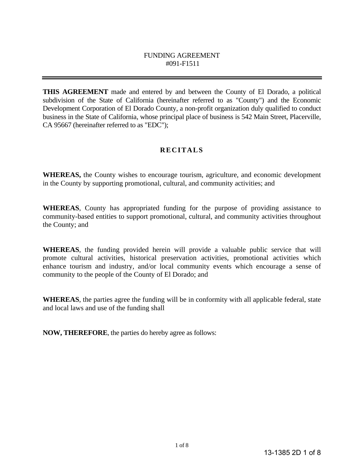#### FUNDING AGREEMENT #091-F1511

**THIS AGREEMENT** made and entered by and between the County of El Dorado, a political subdivision of the State of California (hereinafter referred to as "County") and the Economic Development Corporation of El Dorado County, a non-profit organization duly qualified to conduct business in the State of California, whose principal place of business is 542 Main Street, Placerville, CA 95667 (hereinafter referred to as "EDC");

## **RECITALS**

**WHEREAS,** the County wishes to encourage tourism, agriculture, and economic development in the County by supporting promotional, cultural, and community activities; and

**WHEREAS**, County has appropriated funding for the purpose of providing assistance to community-based entities to support promotional, cultural, and community activities throughout the County; and

**WHEREAS**, the funding provided herein will provide a valuable public service that will promote cultural activities, historical preservation activities, promotional activities which enhance tourism and industry, and/or local community events which encourage a sense of community to the people of the County of El Dorado; and

**WHEREAS**, the parties agree the funding will be in conformity with all applicable federal, state and local laws and use of the funding shall

**NOW, THEREFORE**, the parties do hereby agree as follows: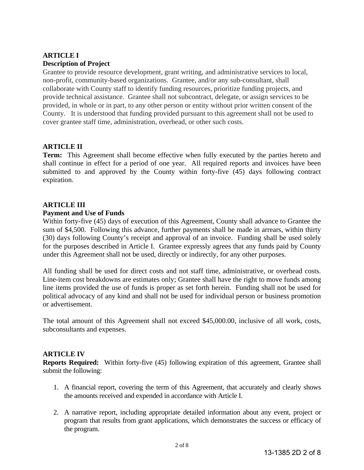## **ARTICLE I Description of Project**

Grantee to provide resource development, grant writing, and administrative services to local, non-profit, community-based organizations. Grantee, and/or any sub-consultant, shall collaborate with County staff to identify funding resources, prioritize funding projects, and provide technical assistance. Grantee shall not subcontract, delegate, or assign services to be provided, in whole or in part, to any other person or entity without prior written consent of the County. It is understood that funding provided pursuant to this agreement shall not be used to cover grantee staff time, administration, overhead, or other such costs.

## **ARTICLE II**

**Term:** This Agreement shall become effective when fully executed by the parties hereto and shall continue in effect for a period of one year. All required reports and invoices have been submitted to and approved by the County within forty-five (45) days following contract expiration.

# **ARTICLE III**

#### **Payment and Use of Funds**

Within forty-five (45) days of execution of this Agreement, County shall advance to Grantee the sum of \$4,500. Following this advance, further payments shall be made in arrears, within thirty (30) days following County's receipt and approval of an invoice. Funding shall be used solely for the purposes described in Article I. Grantee expressly agrees that any funds paid by County under this Agreement shall not be used, directly or indirectly, for any other purposes.

All funding shall be used for direct costs and not staff time, administrative, or overhead costs. Line-item cost breakdowns are estimates only; Grantee shall have the right to move funds among line items provided the use of funds is proper as set forth herein. Funding shall not be used for political advocacy of any kind and shall not be used for individual person or business promotion or advertisement.

The total amount of this Agreement shall not exceed \$45,000.00, inclusive of all work, costs, subconsultants and expenses.

## **ARTICLE IV**

**Reports Required:** Within forty-five (45) following expiration of this agreement, Grantee shall submit the following:

- 1. A financial report, covering the term of this Agreement, that accurately and clearly shows the amounts received and expended in accordance with Article I.
- 2. A narrative report, including appropriate detailed information about any event, project or program that results from grant applications, which demonstrates the success or efficacy of the program.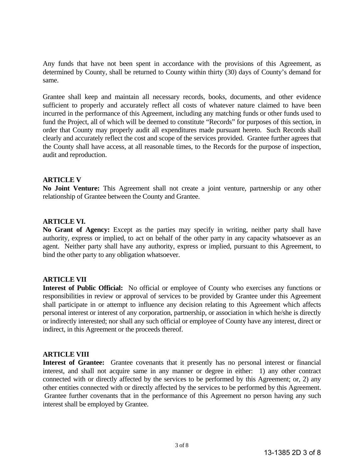Any funds that have not been spent in accordance with the provisions of this Agreement, as determined by County, shall be returned to County within thirty (30) days of County's demand for same.

Grantee shall keep and maintain all necessary records, books, documents, and other evidence sufficient to properly and accurately reflect all costs of whatever nature claimed to have been incurred in the performance of this Agreement, including any matching funds or other funds used to fund the Project, all of which will be deemed to constitute "Records" for purposes of this section, in order that County may properly audit all expenditures made pursuant hereto. Such Records shall clearly and accurately reflect the cost and scope of the services provided. Grantee further agrees that the County shall have access, at all reasonable times, to the Records for the purpose of inspection, audit and reproduction.

#### **ARTICLE V**

**No Joint Venture:** This Agreement shall not create a joint venture, partnership or any other relationship of Grantee between the County and Grantee.

#### **ARTICLE VI.**

**No Grant of Agency:** Except as the parties may specify in writing, neither party shall have authority, express or implied, to act on behalf of the other party in any capacity whatsoever as an agent. Neither party shall have any authority, express or implied, pursuant to this Agreement, to bind the other party to any obligation whatsoever.

#### **ARTICLE VII**

**Interest of Public Official:** No official or employee of County who exercises any functions or responsibilities in review or approval of services to be provided by Grantee under this Agreement shall participate in or attempt to influence any decision relating to this Agreement which affects personal interest or interest of any corporation, partnership, or association in which he/she is directly or indirectly interested; nor shall any such official or employee of County have any interest, direct or indirect, in this Agreement or the proceeds thereof.

#### **ARTICLE VIII**

**Interest of Grantee:** Grantee covenants that it presently has no personal interest or financial interest, and shall not acquire same in any manner or degree in either: 1) any other contract connected with or directly affected by the services to be performed by this Agreement; or, 2) any other entities connected with or directly affected by the services to be performed by this Agreement. Grantee further covenants that in the performance of this Agreement no person having any such interest shall be employed by Grantee.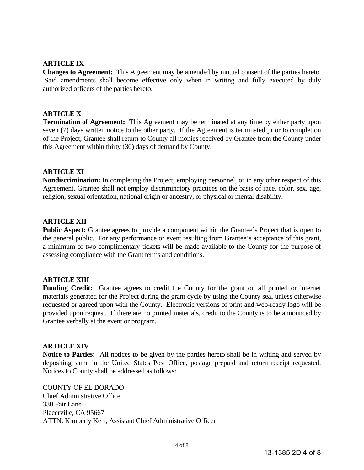### **ARTICLE IX**

**Changes to Agreement:** This Agreement may be amended by mutual consent of the parties hereto. Said amendments shall become effective only when in writing and fully executed by duly authorized officers of the parties hereto.

#### **ARTICLE X**

**Termination of Agreement:** This Agreement may be terminated at any time by either party upon seven (7) days written notice to the other party. If the Agreement is terminated prior to completion of the Project, Grantee shall return to County all monies received by Grantee from the County under this Agreement within thirty (30) days of demand by County.

#### **ARTICLE XI**

**Nondiscrimination:** In completing the Project, employing personnel, or in any other respect of this Agreement, Grantee shall not employ discriminatory practices on the basis of race, color, sex, age, religion, sexual orientation, national origin or ancestry, or physical or mental disability.

#### **ARTICLE XII**

**Public Aspect:** Grantee agrees to provide a component within the Grantee's Project that is open to the general public. For any performance or event resulting from Grantee's acceptance of this grant, a minimum of two complimentary tickets will be made available to the County for the purpose of assessing compliance with the Grant terms and conditions.

#### **ARTICLE XIII**

Funding Credit: Grantee agrees to credit the County for the grant on all printed or internet materials generated for the Project during the grant cycle by using the County seal unless otherwise requested or agreed upon with the County. Electronic versions of print and web-ready logo will be provided upon request. If there are no printed materials, credit to the County is to be announced by Grantee verbally at the event or program.

#### **ARTICLE XIV**

**Notice to Parties:** All notices to be given by the parties hereto shall be in writing and served by depositing same in the United States Post Office, postage prepaid and return receipt requested. Notices to County shall be addressed as follows:

COUNTY OF EL DORADO Chief Administrative Office 330 Fair Lane Placerville, CA 95667 ATTN: Kimberly Kerr, Assistant Chief Administrative Officer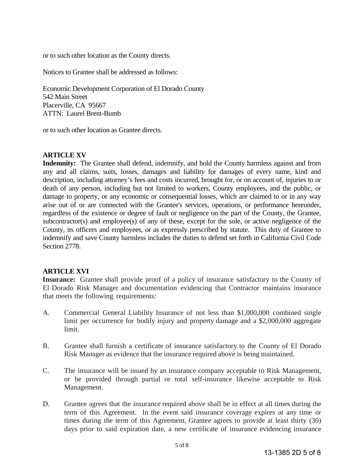or to such other location as the County directs.

Notices to Grantee shall be addressed as follows:

Economic Development Corporation of El Dorado County 542 Main Street Placerville, CA 95667 ATTN: Laurel Brent-Bumb

or to such other location as Grantee directs.

#### **ARTICLE XV**

**Indemnity:** The Grantee shall defend, indemnify, and hold the County harmless against and from any and all claims, suits, losses, damages and liability for damages of every name, kind and description, including attorney's fees and costs incurred, brought for, or on account of, injuries to or death of any person, including but not limited to workers, County employees, and the public, or damage to property, or any economic or consequential losses, which are claimed to or in any way arise out of or are connected with the Grantee's services, operations, or performance hereunder, regardless of the existence or degree of fault or negligence on the part of the County, the Grantee, subcontractor(s) and employee(s) of any of these, except for the sole, or active negligence of the County, its officers and employees, or as expressly prescribed by statute. This duty of Grantee to indemnify and save County harmless includes the duties to defend set forth in California Civil Code Section 2778.

## **ARTICLE XVI**

**Insurance:** Grantee shall provide proof of a policy of insurance satisfactory to the County of El Dorado Risk Manager and documentation evidencing that Contractor maintains insurance that meets the following requirements:

- A. Commercial General Liability Insurance of not less than \$1,000,000 combined single limit per occurrence for bodily injury and property damage and a \$2,000,000 aggregate limit.
- B. Grantee shall furnish a certificate of insurance satisfactory to the County of El Dorado Risk Manager as evidence that the insurance required above is being maintained.
- C. The insurance will be issued by an insurance company acceptable to Risk Management, or be provided through partial or total self-insurance likewise acceptable to Risk Management.
- D. Grantee agrees that the insurance required above shall be in effect at all times during the term of this Agreement. In the event said insurance coverage expires at any time or times during the term of this Agreement, Grantee agrees to provide at least thirty (30) days prior to said expiration date, a new certificate of insurance evidencing insurance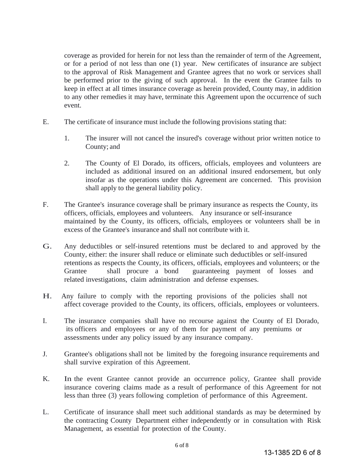coverage as provided for herein for not less than the remainder of term of the Agreement, or for a period of not less than one (1) year. New certificates of insurance are subject to the approval of Risk Management and Grantee agrees that no work or services shall be performed prior to the giving of such approval. In the event the Grantee fails to keep in effect at all times insurance coverage as herein provided, County may, in addition to any other remedies it may have, terminate this Agreement upon the occurrence of such event.

- E. The certificate of insurance must include the following provisions stating that:
	- 1. The insurer will not cancel the insured's coverage without prior written notice to County; and
	- 2. The County of El Dorado, its officers, officials, employees and volunteers are included as additional insured on an additional insured endorsement, but only insofar as the operations under this Agreement are concerned. This provision shall apply to the general liability policy.
- F. The Grantee's insurance coverage shall be primary insurance as respects the County, its officers, officials, employees and volunteers. Any insurance or self-insurance maintained by the County, its officers, officials, employees or volunteers shall be in excess of the Grantee's insurance and shall not contribute with it.
- G. Any deductibles or self-insured retentions must be declared to and approved by the County, either: the insurer shall reduce or eliminate such deductibles or self-insured retentions as respects the County, its officers, officials, employees and volunteers; or the Grantee shall procure a bond guaranteeing payment of losses and related investigations, claim administration and defense expenses.
- H. Any failure to comply with the reporting provisions of the policies shall not affect coverage provided to the County, its officers, officials, employees or volunteers.
- I. The insurance companies shall have no recourse against the County of El Dorado, its officers and employees or any of them for payment of any premiums or assessments under any policy issued by any insurance company.
- J. Grantee's obligations shall not be limited by the foregoing insurance requirements and shall survive expiration of this Agreement.
- K. In the event Grantee cannot provide an occurrence policy, Grantee shall provide insurance covering claims made as a result of performance of this Agreement for not less than three (3) years following completion of performance of this Agreement.
- L. Certificate of insurance shall meet such additional standards as may be determined by the contracting County Department either independently or in consultation with Risk Management, as essential for protection of the County.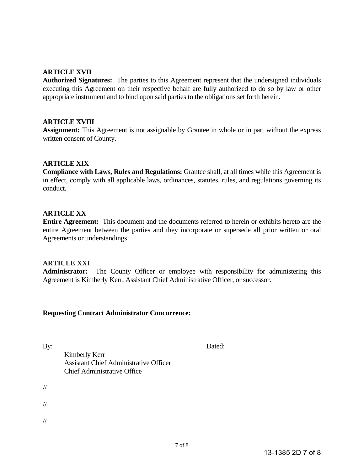#### **ARTICLE XVII**

**Authorized Signatures:** The parties to this Agreement represent that the undersigned individuals executing this Agreement on their respective behalf are fully authorized to do so by law or other appropriate instrument and to bind upon said parties to the obligations set forth herein.

#### **ARTICLE XVIII**

**Assignment:** This Agreement is not assignable by Grantee in whole or in part without the express written consent of County.

#### **ARTICLE XIX**

**Compliance with Laws, Rules and Regulations:** Grantee shall, at all times while this Agreement is in effect, comply with all applicable laws, ordinances, statutes, rules, and regulations governing its conduct.

#### **ARTICLE XX**

**Entire Agreement:** This document and the documents referred to herein or exhibits hereto are the entire Agreement between the parties and they incorporate or supersede all prior written or oral Agreements or understandings.

#### **ARTICLE XXI**

**Administrator:** The County Officer or employee with responsibility for administering this Agreement is Kimberly Kerr, Assistant Chief Administrative Officer, or successor.

#### **Requesting Contract Administrator Concurrence:**

By: Dated:

 Kimberly Kerr Assistant Chief Administrative Officer Chief Administrative Office

//

//

//